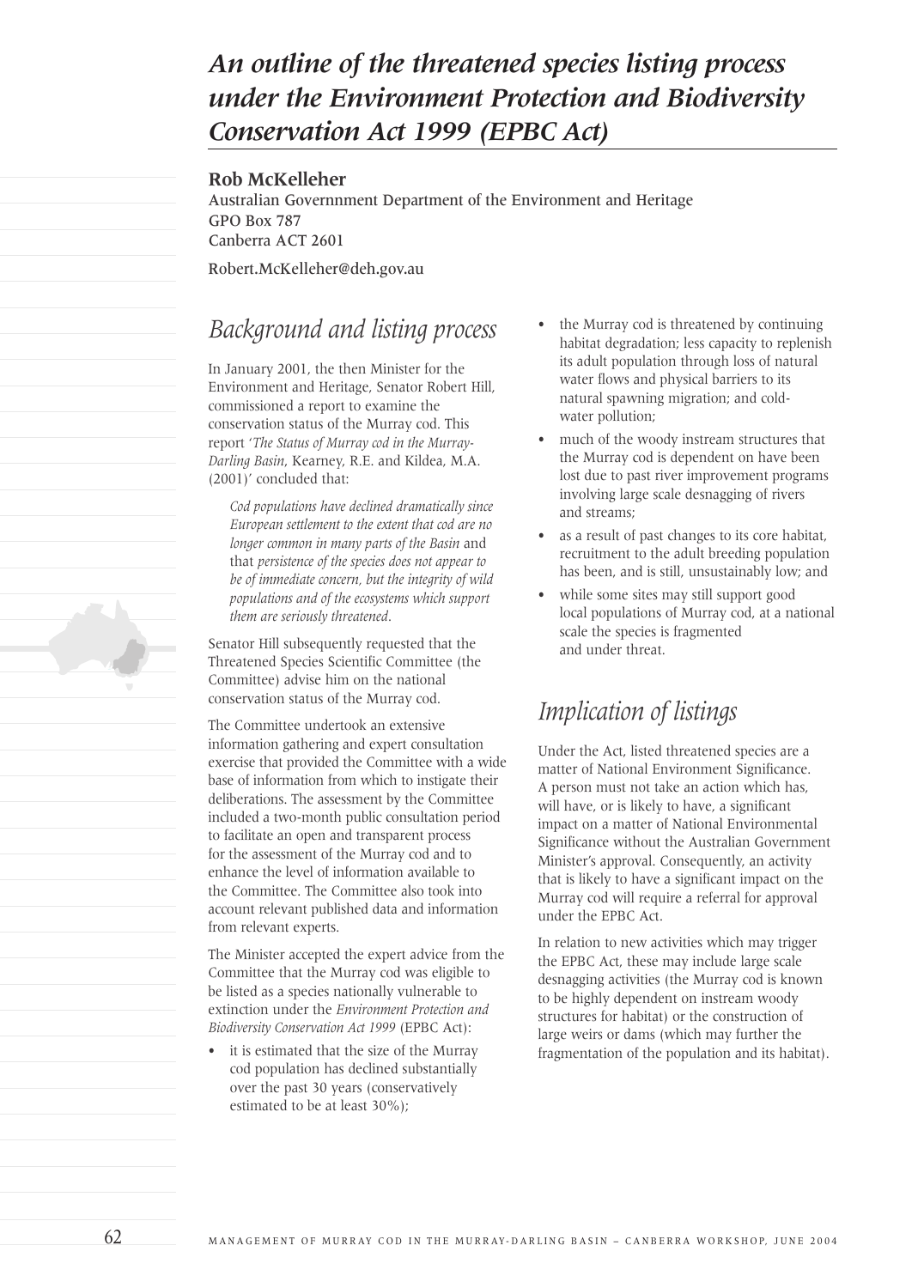# *An outline of the threatened species listing process under the Environment Protection and Biodiversity Conservation Act 1999 (EPBC Act)*

#### **Rob McKelleher**

Australian Governnment Department of the Environment and Heritage GPO Box 787 Canberra ACT 2601

Robert.McKelleher@deh.gov.au

#### *Background and listing process*

In January 2001, the then Minister for the Environment and Heritage, Senator Robert Hill, commissioned a report to examine the conservation status of the Murray cod. This report '*The Status of Murray cod in the Murray-Darling Basin*, Kearney, R.E. and Kildea, M.A. (2001)' concluded that:

*Cod populations have declined dramatically since European settlement to the extent that cod are no longer common in many parts of the Basin* and that *persistence of the species does not appear to be of immediate concern, but the integrity of wild populations and of the ecosystems which support them are seriously threatened*.

Senator Hill subsequently requested that the Threatened Species Scientific Committee (the Committee) advise him on the national conservation status of the Murray cod.

The Committee undertook an extensive information gathering and expert consultation exercise that provided the Committee with a wide base of information from which to instigate their deliberations. The assessment by the Committee included a two-month public consultation period to facilitate an open and transparent process for the assessment of the Murray cod and to enhance the level of information available to the Committee. The Committee also took into account relevant published data and information from relevant experts.

The Minister accepted the expert advice from the Committee that the Murray cod was eligible to be listed as a species nationally vulnerable to extinction under the *Environment Protection and Biodiversity Conservation Act 1999* (EPBC Act):

it is estimated that the size of the Murray cod population has declined substantially over the past 30 years (conservatively estimated to be at least 30%);

- the Murray cod is threatened by continuing habitat degradation; less capacity to replenish its adult population through loss of natural water flows and physical barriers to its natural spawning migration; and coldwater pollution;
- much of the woody instream structures that the Murray cod is dependent on have been lost due to past river improvement programs involving large scale desnagging of rivers and streams;
- as a result of past changes to its core habitat, recruitment to the adult breeding population has been, and is still, unsustainably low; and
- while some sites may still support good local populations of Murray cod, at a national scale the species is fragmented and under threat.

#### *Implication of listings*

Under the Act, listed threatened species are a matter of National Environment Significance. A person must not take an action which has, will have, or is likely to have, a significant impact on a matter of National Environmental Significance without the Australian Government Minister's approval. Consequently, an activity that is likely to have a significant impact on the Murray cod will require a referral for approval under the EPBC Act.

In relation to new activities which may trigger the EPBC Act, these may include large scale desnagging activities (the Murray cod is known to be highly dependent on instream woody structures for habitat) or the construction of large weirs or dams (which may further the fragmentation of the population and its habitat).